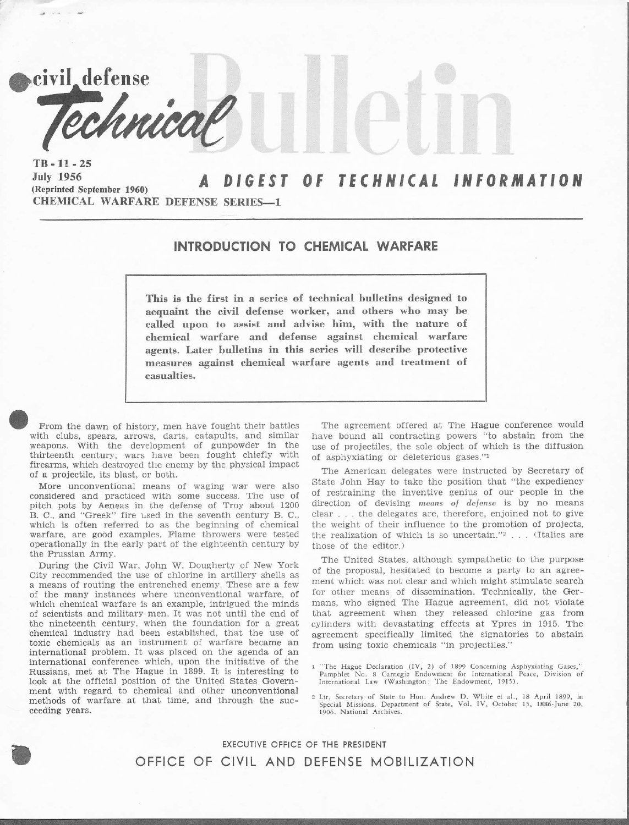civil defense hnical  $TB - 11 - 25$ DIGEST OF TECHNICAL INFORMATION

July 1956 (Reprinted September 1960) CHEMICAL WARFARE DEFENSE SERIES-1

a company

## INTRODUCTION TO CHEMICAL WARFARE

This is the first in a series of technical bulletins designed to acquaint the civil defense worker, and others who may be called upon to assist and advise him, with the nature of chemical warfare and defense againet chemical warfare agents. Later bulletins in this series will describe protective measures against chemical warfare agents and treatment of casualties.

From the dawn of history. men have fought their battles with clubs, spears, arrows, darts, catapults, and similar weapons. with the development of gunpowder in the thirteenth century, wars have been fought chiefly with firearms, which destroyed the enemy by the physical impact of a projectile, its blast, or both.

More unconventional means of waging war were also considered and practiced with some success. The use of pitch pots by Aeneas in the defense of Troy about <sup>1200</sup> B. c., and "Greek" fire used in the seventh century B. C., which is often referred to as the beginning of chemical warfare, are good examples. Flame throwers were tested operationally in the early part of the eighteenth century by the Prussian Army.

During the Civil War, John W. Dougherty of New York City recommended the use of chlorine in artillery shells as a means of routing the entrenched enemy. These are a few of the many instances where unconventional warfare, of which chemical warfare is an example, intrigued the minds of scientists and military men. It was not until the end of the nineteenth century, when the foundation for a great chemical industry had been established, that the use of toxic chemicals as an instrument of warfare became an international problem. It was placed on the agenda of an international conference which, upon the initiative of the Russians, met at The Hague in 1899. It is interesting to Iook at the official position of the United States Government with regard to chemical and other unconventional methods of warfare at that time, and through the succeeding years.

O

The agreement offered at The Hague conference would have bound all contracting powers "to abstain from ihe use of projectiles, the sole object of which is the diffusion of asphyxiating or deleterious gases."1

The American delegates were instructed by Secretary of state John Hay to take the position that "the expediency of restraining the inventive genius of our people in the direction of devising means of defense is by no means clear . . . the delegates are, therefore, enjoined not to give the weight of their influence to the promotion of projects, the realization of which is so uncertain."<sup>2</sup> . . . (Italics are those of the editor.)

The United States, although sympathetic to the purpose of the proposal, hesitated to become a party to an agreement which was not clear and which might stimulate search for other means of dissemination. Technically, the Germans, who signed The Hague agreement, did not violate that agreement when they released chlorine gas from cylinders with devastating effects at Ypres in 1915. The agreement specifically limited the signatories to abstain from using toxic chemicals "in projectiles."

1 "The Hague Declaration (IV, 2) of 1899 Concerning Asphyxiating Gases," Pamphlet No. 8 Carnegie Endowment for International Peace, Division of International Law (Washington: The Endowment, 1915).

2 Ltr, Secretary of State to Hon. Andrew D. White et al., 18 April 1899, in Special Missions, Department of State. Vol. IV, October 15, 1886-June 20, 1906. National Archives.

EXECUTIVE OFFJCE OF THE PRESIDENT OFFICE OF CIVIL AND DEFENSE MOBILIZATION